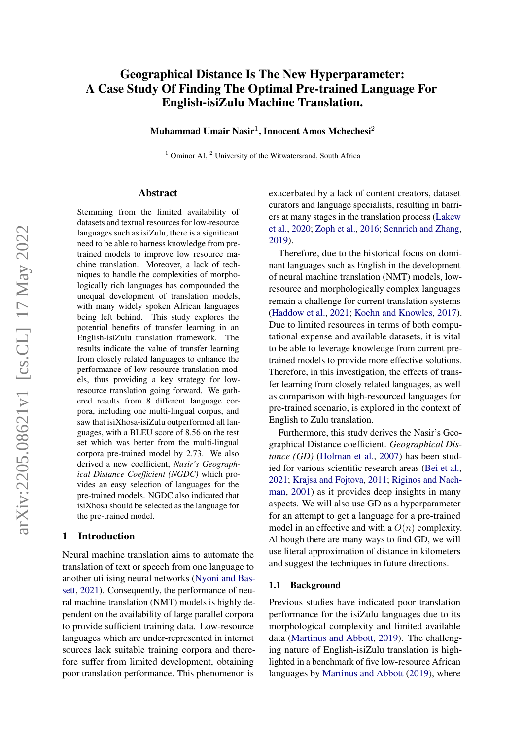# Geographical Distance Is The New Hyperparameter: A Case Study Of Finding The Optimal Pre-trained Language For English-isiZulu Machine Translation.

Muhammad Umair Nasir<sup>1</sup>, Innocent Amos Mchechesi<sup>2</sup>

 $1$  Ominor AI,  $2$  University of the Witwatersrand, South Africa

#### Abstract

Stemming from the limited availability of datasets and textual resources for low-resource languages such as isiZulu, there is a significant need to be able to harness knowledge from pretrained models to improve low resource machine translation. Moreover, a lack of techniques to handle the complexities of morphologically rich languages has compounded the unequal development of translation models, with many widely spoken African languages being left behind. This study explores the potential benefits of transfer learning in an English-isiZulu translation framework. The results indicate the value of transfer learning from closely related languages to enhance the performance of low-resource translation models, thus providing a key strategy for lowresource translation going forward. We gathered results from 8 different language corpora, including one multi-lingual corpus, and saw that isiXhosa-isiZulu outperformed all languages, with a BLEU score of 8.56 on the test set which was better from the multi-lingual corpora pre-trained model by 2.73. We also derived a new coefficient, *Nasir's Geographical Distance Coefficient (NGDC)* which provides an easy selection of languages for the pre-trained models. NGDC also indicated that isiXhosa should be selected as the language for the pre-trained model.

## 1 Introduction

Neural machine translation aims to automate the translation of text or speech from one language to another utilising neural networks [\(Nyoni and Bas](#page-7-0)[sett,](#page-7-0) [2021\)](#page-7-0). Consequently, the performance of neural machine translation (NMT) models is highly dependent on the availability of large parallel corpora to provide sufficient training data. Low-resource languages which are under-represented in internet sources lack suitable training corpora and therefore suffer from limited development, obtaining poor translation performance. This phenomenon is

exacerbated by a lack of content creators, dataset curators and language specialists, resulting in barriers at many stages in the translation process [\(Lakew](#page-7-1) [et al.,](#page-7-1) [2020;](#page-7-1) [Zoph et al.,](#page-8-0) [2016;](#page-8-0) [Sennrich and Zhang,](#page-7-2) [2019\)](#page-7-2).

Therefore, due to the historical focus on dominant languages such as English in the development of neural machine translation (NMT) models, lowresource and morphologically complex languages remain a challenge for current translation systems [\(Haddow et al.,](#page-7-3) [2021;](#page-7-3) [Koehn and Knowles,](#page-7-4) [2017\)](#page-7-4). Due to limited resources in terms of both computational expense and available datasets, it is vital to be able to leverage knowledge from current pretrained models to provide more effective solutions. Therefore, in this investigation, the effects of transfer learning from closely related languages, as well as comparison with high-resourced languages for pre-trained scenario, is explored in the context of English to Zulu translation.

Furthermore, this study derives the Nasir's Geographical Distance coefficient. *Geographical Distance (GD)* [\(Holman et al.,](#page-7-5) [2007\)](#page-7-5) has been studied for various scientific research areas [\(Bei et al.,](#page-6-0) [2021;](#page-6-0) [Krajsa and Fojtova,](#page-7-6) [2011;](#page-7-6) [Riginos and Nach](#page-7-7)[man,](#page-7-7) [2001\)](#page-7-7) as it provides deep insights in many aspects. We will also use GD as a hyperparameter for an attempt to get a language for a pre-trained model in an effective and with a  $O(n)$  complexity. Although there are many ways to find GD, we will use literal approximation of distance in kilometers and suggest the techniques in future directions.

#### 1.1 Background

Previous studies have indicated poor translation performance for the isiZulu languages due to its morphological complexity and limited available data [\(Martinus and Abbott,](#page-7-8) [2019\)](#page-7-8). The challenging nature of English-isiZulu translation is highlighted in a benchmark of five low-resource African languages by [Martinus and Abbott](#page-7-8) [\(2019\)](#page-7-8), where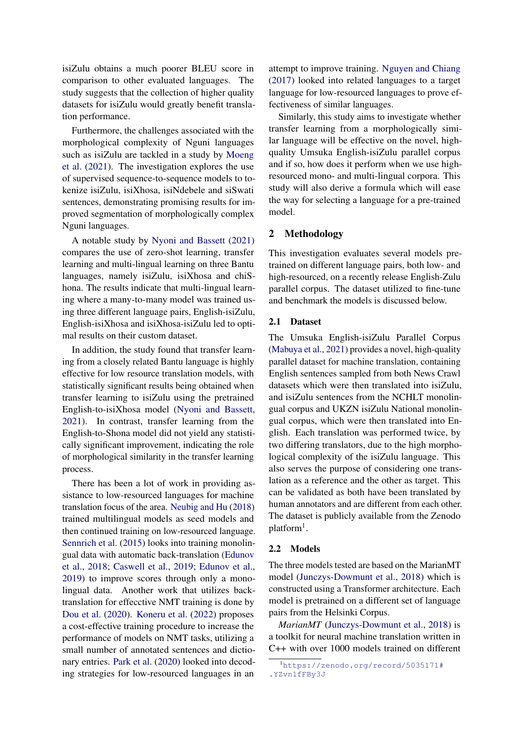isiZulu obtains a much poorer BLEU score in comparison to other evaluated languages. The study suggests that the collection of higher quality datasets for isiZulu would greatly benefit translation performance.

Furthermore, the challenges associated with the morphological complexity of Nguni languages such as isiZulu are tackled in a study by [Moeng](#page-7-9) [et al.](#page-7-9) [\(2021\)](#page-7-9). The investigation explores the use of supervised sequence-to-sequence models to tokenize isiZulu, isiXhosa, isiNdebele and siSwati sentences, demonstrating promising results for improved segmentation of morphologically complex Nguni languages.

A notable study by [Nyoni and Bassett](#page-7-0) [\(2021\)](#page-7-0) compares the use of zero-shot learning, transfer learning and multi-lingual learning on three Bantu languages, namely isiZulu, isiXhosa and chiShona. The results indicate that multi-lingual learning where a many-to-many model was trained using three different language pairs, English-isiZulu, English-isiXhosa and isiXhosa-isiZulu led to optimal results on their custom dataset.

In addition, the study found that transfer learning from a closely related Bantu language is highly effective for low resource translation models, with statistically significant results being obtained when transfer learning to isiZulu using the pretrained English-to-isiXhosa model [\(Nyoni and Bassett,](#page-7-0) [2021\)](#page-7-0). In contrast, transfer learning from the English-to-Shona model did not yield any statistically significant improvement, indicating the role of morphological similarity in the transfer learning process.

There has been a lot of work in providing assistance to low-resourced languages for machine translation focus of the area. [Neubig and Hu](#page-7-10) [\(2018\)](#page-7-10) trained multilingual models as seed models and then continued training on low-resourced language. [Sennrich et al.](#page-7-11) [\(2015\)](#page-7-11) looks into training monolingual data with automatic back-translation [\(Edunov](#page-7-12) [et al.,](#page-7-12) [2018;](#page-7-12) [Caswell et al.,](#page-7-13) [2019;](#page-7-13) [Edunov et al.,](#page-7-14) [2019\)](#page-7-14) to improve scores through only a monolingual data. Another work that utilizes backtranslation for effecctive NMT training is done by [Dou et al.](#page-7-15) [\(2020\)](#page-7-15). [Koneru et al.](#page-7-16) [\(2022\)](#page-7-16) proposes a cost-effective training procedure to increase the performance of models on NMT tasks, utilizing a small number of annotated sentences and dictionary entries. [Park et al.](#page-7-17) [\(2020\)](#page-7-17) looked into decoding strategies for low-resourced languages in an

attempt to improve training. [Nguyen and Chiang](#page-7-18) [\(2017\)](#page-7-18) looked into related languages to a target language for low-resourced languages to prove effectiveness of similar languages.

Similarly, this study aims to investigate whether transfer learning from a morphologically similar language will be effective on the novel, highquality Umsuka English-isiZulu parallel corpus and if so, how does it perform when we use highresourced mono- and multi-lingual corpora. This study will also derive a formula which will ease the way for selecting a language for a pre-trained model.

### 2 Methodology

This investigation evaluates several models pretrained on different language pairs, both low- and high-resourced, on a recently release English-Zulu parallel corpus. The dataset utilized to fine-tune and benchmark the models is discussed below.

## 2.1 Dataset

The Umsuka English-isiZulu Parallel Corpus [\(Mabuya et al.,](#page-7-19) [2021\)](#page-7-19) provides a novel, high-quality parallel dataset for machine translation, containing English sentences sampled from both News Crawl datasets which were then translated into isiZulu, and isiZulu sentences from the NCHLT monolingual corpus and UKZN isiZulu National monolingual corpus, which were then translated into English. Each translation was performed twice, by two differing translators, due to the high morphological complexity of the isiZulu language. This also serves the purpose of considering one translation as a reference and the other as target. This can be validated as both have been translated by human annotators and are different from each other. The dataset is publicly available from the Zenodo platform<sup>[1](#page-1-0)</sup>.

#### 2.2 Models

The three models tested are based on the MarianMT model [\(Junczys-Dowmunt et al.,](#page-7-20) [2018\)](#page-7-20) which is constructed using a Transformer architecture. Each model is pretrained on a different set of language pairs from the Helsinki Corpus.

*MarianMT* [\(Junczys-Dowmunt et al.,](#page-7-20) [2018\)](#page-7-20) is a toolkit for neural machine translation written in C++ with over 1000 models trained on different

<span id="page-1-0"></span><sup>1</sup>[https://zenodo.org/record/5035171#](https://zenodo.org/record/5035171##.YZvn1fFBy3J) [.YZvn1fFBy3J](https://zenodo.org/record/5035171##.YZvn1fFBy3J)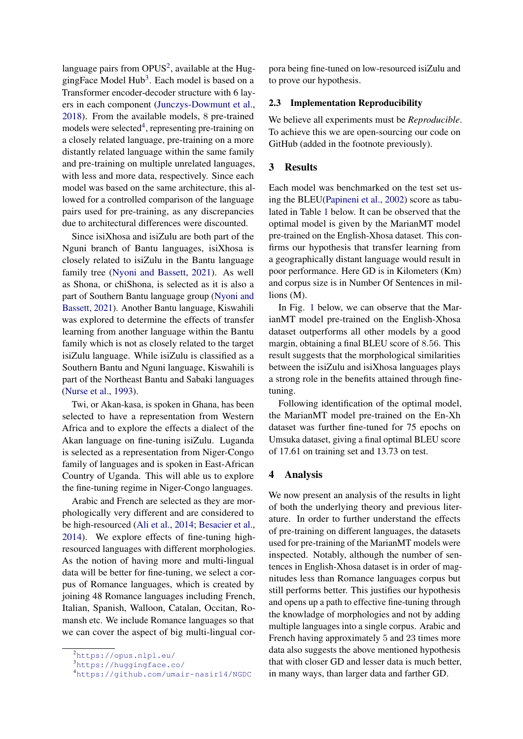language pairs from  $OPUS<sup>2</sup>$  $OPUS<sup>2</sup>$  $OPUS<sup>2</sup>$ , available at the Hug-gingFace Model Hub<sup>[3](#page-2-1)</sup>. Each model is based on a Transformer encoder-decoder structure with 6 layers in each component [\(Junczys-Dowmunt et al.,](#page-7-20) [2018\)](#page-7-20). From the available models, 8 pre-trained models were selected<sup>[4](#page-2-2)</sup>, representing pre-training on a closely related language, pre-training on a more distantly related language within the same family and pre-training on multiple unrelated languages, with less and more data, respectively. Since each model was based on the same architecture, this allowed for a controlled comparison of the language pairs used for pre-training, as any discrepancies due to architectural differences were discounted.

Since isiXhosa and isiZulu are both part of the Nguni branch of Bantu languages, isiXhosa is closely related to isiZulu in the Bantu language family tree [\(Nyoni and Bassett,](#page-7-0) [2021\)](#page-7-0). As well as Shona, or chiShona, is selected as it is also a part of Southern Bantu language group [\(Nyoni and](#page-7-0) [Bassett,](#page-7-0) [2021\)](#page-7-0). Another Bantu language, Kiswahili was explored to determine the effects of transfer learning from another language within the Bantu family which is not as closely related to the target isiZulu language. While isiZulu is classified as a Southern Bantu and Nguni language, Kiswahili is part of the Northeast Bantu and Sabaki languages [\(Nurse et al.,](#page-7-21) [1993\)](#page-7-21).

Twi, or Akan-kasa, is spoken in Ghana, has been selected to have a representation from Western Africa and to explore the effects a dialect of the Akan language on fine-tuning isiZulu. Luganda is selected as a representation from Niger-Congo family of languages and is spoken in East-African Country of Uganda. This will able us to explore the fine-tuning regime in Niger-Congo languages.

Arabic and French are selected as they are morphologically very different and are considered to be high-resourced [\(Ali et al.,](#page-6-1) [2014;](#page-6-1) [Besacier et al.,](#page-7-22) [2014\)](#page-7-22). We explore effects of fine-tuning highresourced languages with different morphologies. As the notion of having more and multi-lingual data will be better for fine-tuning, we select a corpus of Romance languages, which is created by joining 48 Romance languages including French, Italian, Spanish, Walloon, Catalan, Occitan, Romansh etc. We include Romance languages so that we can cover the aspect of big multi-lingual corpora being fine-tuned on low-resourced isiZulu and to prove our hypothesis.

# 2.3 Implementation Reproducibility

We believe all experiments must be *Reproducible*. To achieve this we are open-sourcing our code on GitHub (added in the footnote previously).

# 3 Results

Each model was benchmarked on the test set using the BLEU[\(Papineni et al.,](#page-7-23) [2002\)](#page-7-23) score as tabulated in Table [1](#page-3-0) below. It can be observed that the optimal model is given by the MarianMT model pre-trained on the English-Xhosa dataset. This confirms our hypothesis that transfer learning from a geographically distant language would result in poor performance. Here GD is in Kilometers (Km) and corpus size is in Number Of Sentences in millions (M).

In Fig. [1](#page-3-1) below, we can observe that the MarianMT model pre-trained on the English-Xhosa dataset outperforms all other models by a good margin, obtaining a final BLEU score of 8.56. This result suggests that the morphological similarities between the isiZulu and isiXhosa languages plays a strong role in the benefits attained through finetuning.

Following identification of the optimal model, the MarianMT model pre-trained on the En-Xh dataset was further fine-tuned for 75 epochs on Umsuka dataset, giving a final optimal BLEU score of 17.61 on training set and 13.73 on test.

# 4 Analysis

We now present an analysis of the results in light of both the underlying theory and previous literature. In order to further understand the effects of pre-training on different languages, the datasets used for pre-training of the MarianMT models were inspected. Notably, although the number of sentences in English-Xhosa dataset is in order of magnitudes less than Romance languages corpus but still performs better. This justifies our hypothesis and opens up a path to effective fine-tuning through the knowladge of morphologies and not by adding multiple languages into a single corpus. Arabic and French having approximately 5 and 23 times more data also suggests the above mentioned hypothesis that with closer GD and lesser data is much better, in many ways, than larger data and farther GD.

<span id="page-2-0"></span><sup>2</sup><https://opus.nlpl.eu/>

<span id="page-2-1"></span><sup>3</sup><https://huggingface.co/>

<span id="page-2-2"></span><sup>4</sup><https://github.com/umair-nasir14/NGDC>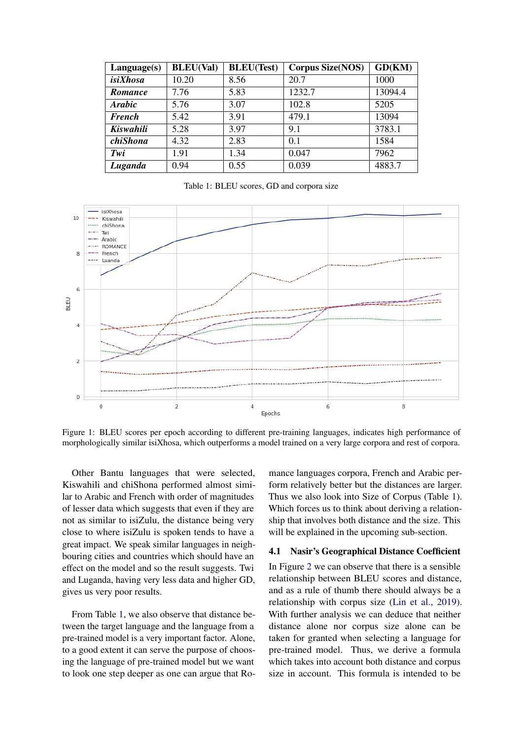<span id="page-3-0"></span>

| Language(s)    | <b>BLEU(Val)</b> | <b>BLEU(Test)</b> | <b>Corpus Size(NOS)</b> | GD(KM)  |
|----------------|------------------|-------------------|-------------------------|---------|
| isiXhosa       | 10.20            | 8.56              | 20.7                    | 1000    |
| <b>Romance</b> | 7.76             | 5.83              | 1232.7                  | 13094.4 |
| Arabic         | 5.76             | 3.07              | 102.8                   | 5205    |
| <b>French</b>  | 5.42             | 3.91              | 479.1                   | 13094   |
| Kiswahili      | 5.28             | 3.97              | 9.1                     | 3783.1  |
| chiShona       | 4.32             | 2.83              | 0.1                     | 1584    |
| Twi            | 1.91             | 1.34              | 0.047                   | 7962    |
| Luganda        | 0.94             | 0.55              | 0.039                   | 4883.7  |

Table 1: BLEU scores, GD and corpora size

<span id="page-3-1"></span>

Figure 1: BLEU scores per epoch according to different pre-training languages, indicates high performance of morphologically similar isiXhosa, which outperforms a model trained on a very large corpora and rest of corpora.

Other Bantu languages that were selected, Kiswahili and chiShona performed almost similar to Arabic and French with order of magnitudes of lesser data which suggests that even if they are not as similar to isiZulu, the distance being very close to where isiZulu is spoken tends to have a great impact. We speak similar languages in neighbouring cities and countries which should have an effect on the model and so the result suggests. Twi and Luganda, having very less data and higher GD, gives us very poor results.

From Table [1,](#page-3-0) we also observe that distance between the target language and the language from a pre-trained model is a very important factor. Alone, to a good extent it can serve the purpose of choosing the language of pre-trained model but we want to look one step deeper as one can argue that Romance languages corpora, French and Arabic perform relatively better but the distances are larger. Thus we also look into Size of Corpus (Table [1\)](#page-3-0). Which forces us to think about deriving a relationship that involves both distance and the size. This will be explained in the upcoming sub-section.

#### 4.1 Nasir's Geographical Distance Coefficient

In Figure [2](#page-4-0) we can observe that there is a sensible relationship between BLEU scores and distance, and as a rule of thumb there should always be a relationship with corpus size [\(Lin et al.,](#page-7-24) [2019\)](#page-7-24). With further analysis we can deduce that neither distance alone nor corpus size alone can be taken for granted when selecting a language for pre-trained model. Thus, we derive a formula which takes into account both distance and corpus size in account. This formula is intended to be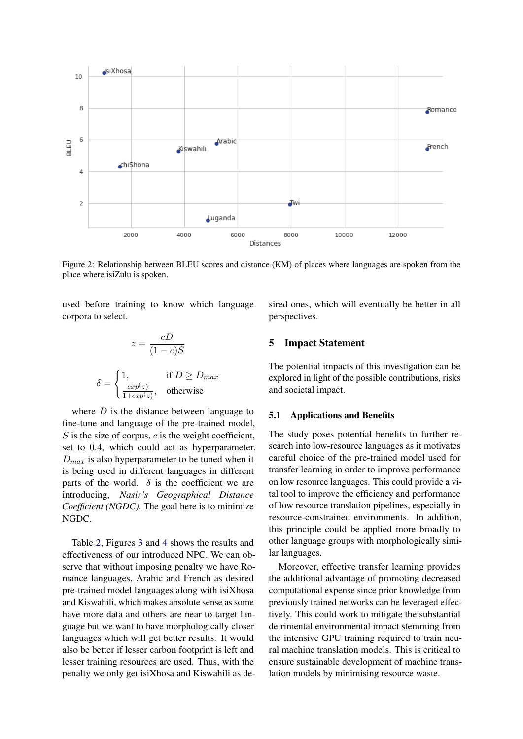<span id="page-4-0"></span>

Figure 2: Relationship between BLEU scores and distance (KM) of places where languages are spoken from the place where isiZulu is spoken.

used before training to know which language corpora to select.

$$
z = \frac{cD}{(1-c)S}
$$

$$
\delta = \begin{cases} 1, & \text{if } D \ge D_{max} \\ \frac{exp(z)}{1 + exp(z)}, & \text{otherwise} \end{cases}
$$

where  $D$  is the distance between language to fine-tune and language of the pre-trained model,  $S$  is the size of corpus,  $c$  is the weight coefficient, set to 0.4, which could act as hyperparameter.  $D_{max}$  is also hyperparameter to be tuned when it is being used in different languages in different parts of the world.  $\delta$  is the coefficient we are introducing, *Nasir's Geographical Distance Coefficient (NGDC)*. The goal here is to minimize NGDC.

Table [2,](#page-5-0) Figures [3](#page-5-1) and [4](#page-5-2) shows the results and effectiveness of our introduced NPC. We can observe that without imposing penalty we have Romance languages, Arabic and French as desired pre-trained model languages along with isiXhosa and Kiswahili, which makes absolute sense as some have more data and others are near to target language but we want to have morphologically closer languages which will get better results. It would also be better if lesser carbon footprint is left and lesser training resources are used. Thus, with the penalty we only get isiXhosa and Kiswahili as desired ones, which will eventually be better in all perspectives.

# 5 Impact Statement

The potential impacts of this investigation can be explored in light of the possible contributions, risks and societal impact.

#### 5.1 Applications and Benefits

The study poses potential benefits to further research into low-resource languages as it motivates careful choice of the pre-trained model used for transfer learning in order to improve performance on low resource languages. This could provide a vital tool to improve the efficiency and performance of low resource translation pipelines, especially in resource-constrained environments. In addition, this principle could be applied more broadly to other language groups with morphologically similar languages.

Moreover, effective transfer learning provides the additional advantage of promoting decreased computational expense since prior knowledge from previously trained networks can be leveraged effectively. This could work to mitigate the substantial detrimental environmental impact stemming from the intensive GPU training required to train neural machine translation models. This is critical to ensure sustainable development of machine translation models by minimising resource waste.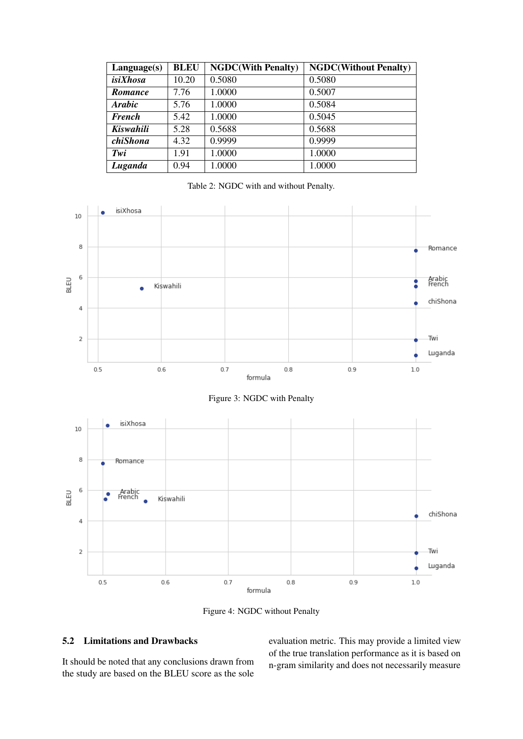<span id="page-5-0"></span>

| Language(s)          | <b>BLEU</b> | <b>NGDC(With Penalty)</b> | <b>NGDC(Without Penalty)</b> |
|----------------------|-------------|---------------------------|------------------------------|
| isiXhosa             | 10.20       | 0.5080                    | 0.5080                       |
| <b>Romance</b>       | 7.76        | 1.0000                    | 0.5007                       |
| <i><b>Arabic</b></i> | 5.76        | 1.0000                    | 0.5084                       |
| <b>French</b>        | 5.42        | 1.0000                    | 0.5045                       |
| Kiswahili            | 5.28        | 0.5688                    | 0.5688                       |
| chiShona             | 4.32        | 0.9999                    | 0.9999                       |
| Twi                  | 1.91        | 1.0000                    | 1.0000                       |
| Luganda              | 0.94        | 1.0000                    | 1.0000                       |

Table 2: NGDC with and without Penalty.

<span id="page-5-2"></span><span id="page-5-1"></span>

Figure 4: NGDC without Penalty

# 5.2 Limitations and Drawbacks

It should be noted that any conclusions drawn from the study are based on the BLEU score as the sole evaluation metric. This may provide a limited view of the true translation performance as it is based on n-gram similarity and does not necessarily measure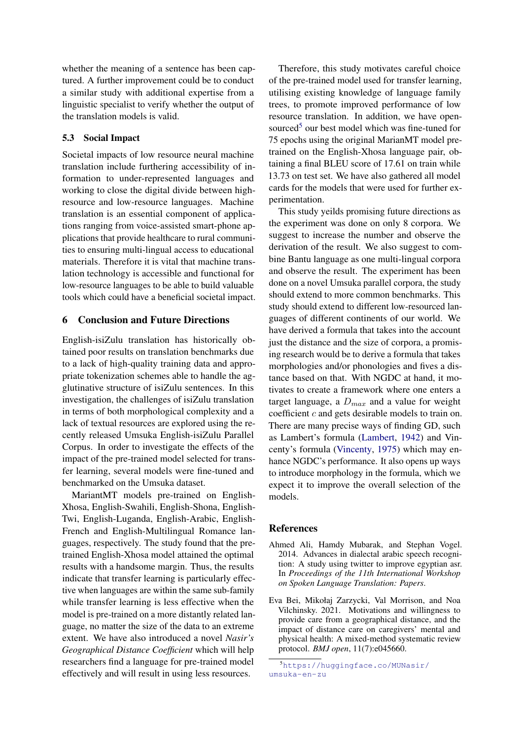whether the meaning of a sentence has been captured. A further improvement could be to conduct a similar study with additional expertise from a linguistic specialist to verify whether the output of the translation models is valid.

## 5.3 Social Impact

Societal impacts of low resource neural machine translation include furthering accessibility of information to under-represented languages and working to close the digital divide between highresource and low-resource languages. Machine translation is an essential component of applications ranging from voice-assisted smart-phone applications that provide healthcare to rural communities to ensuring multi-lingual access to educational materials. Therefore it is vital that machine translation technology is accessible and functional for low-resource languages to be able to build valuable tools which could have a beneficial societal impact.

## 6 Conclusion and Future Directions

English-isiZulu translation has historically obtained poor results on translation benchmarks due to a lack of high-quality training data and appropriate tokenization schemes able to handle the agglutinative structure of isiZulu sentences. In this investigation, the challenges of isiZulu translation in terms of both morphological complexity and a lack of textual resources are explored using the recently released Umsuka English-isiZulu Parallel Corpus. In order to investigate the effects of the impact of the pre-trained model selected for transfer learning, several models were fine-tuned and benchmarked on the Umsuka dataset.

MariantMT models pre-trained on English-Xhosa, English-Swahili, English-Shona, English-Twi, English-Luganda, English-Arabic, English-French and English-Multilingual Romance languages, respectively. The study found that the pretrained English-Xhosa model attained the optimal results with a handsome margin. Thus, the results indicate that transfer learning is particularly effective when languages are within the same sub-family while transfer learning is less effective when the model is pre-trained on a more distantly related language, no matter the size of the data to an extreme extent. We have also introduced a novel *Nasir's Geographical Distance Coefficient* which will help researchers find a language for pre-trained model effectively and will result in using less resources.

Therefore, this study motivates careful choice of the pre-trained model used for transfer learning, utilising existing knowledge of language family trees, to promote improved performance of low resource translation. In addition, we have open-sourced<sup>[5](#page-6-2)</sup> our best model which was fine-tuned for 75 epochs using the original MarianMT model pretrained on the English-Xhosa language pair, obtaining a final BLEU score of 17.61 on train while 13.73 on test set. We have also gathered all model cards for the models that were used for further experimentation.

This study yeilds promising future directions as the experiment was done on only 8 corpora. We suggest to increase the number and observe the derivation of the result. We also suggest to combine Bantu language as one multi-lingual corpora and observe the result. The experiment has been done on a novel Umsuka parallel corpora, the study should extend to more common benchmarks. This study should extend to different low-resourced languages of different continents of our world. We have derived a formula that takes into the account just the distance and the size of corpora, a promising research would be to derive a formula that takes morphologies and/or phonologies and fives a distance based on that. With NGDC at hand, it motivates to create a framework where one enters a target language, a  $D_{max}$  and a value for weight coefficient c and gets desirable models to train on. There are many precise ways of finding GD, such as Lambert's formula [\(Lambert,](#page-7-25) [1942\)](#page-7-25) and Vincenty's formula [\(Vincenty,](#page-7-26) [1975\)](#page-7-26) which may enhance NGDC's performance. It also opens up ways to introduce morphology in the formula, which we expect it to improve the overall selection of the models.

### References

- <span id="page-6-1"></span>Ahmed Ali, Hamdy Mubarak, and Stephan Vogel. 2014. Advances in dialectal arabic speech recognition: A study using twitter to improve egyptian asr. In *Proceedings of the 11th International Workshop on Spoken Language Translation: Papers*.
- <span id="page-6-0"></span>Eva Bei, Mikołaj Zarzycki, Val Morrison, and Noa Vilchinsky. 2021. Motivations and willingness to provide care from a geographical distance, and the impact of distance care on caregivers' mental and physical health: A mixed-method systematic review protocol. *BMJ open*, 11(7):e045660.

<span id="page-6-2"></span><sup>5</sup>[https://huggingface.co/MUNasir/](https://huggingface.co/MUNasir/umsuka-en-zu) [umsuka-en-zu](https://huggingface.co/MUNasir/umsuka-en-zu)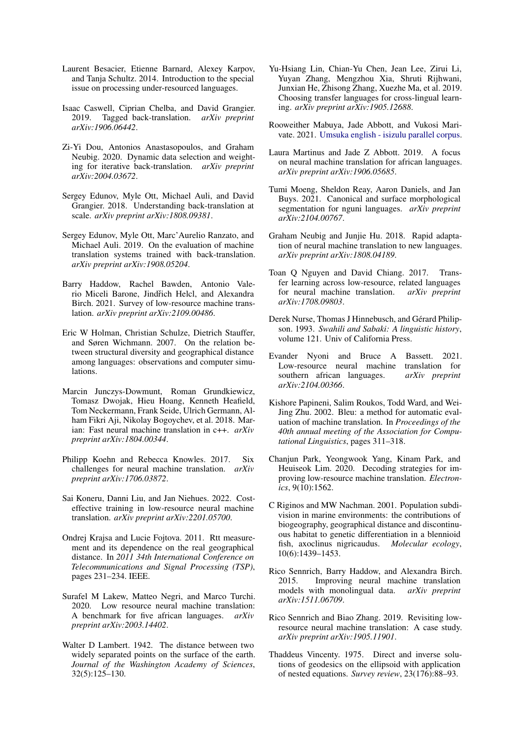- <span id="page-7-22"></span>Laurent Besacier, Etienne Barnard, Alexey Karpov, and Tanja Schultz. 2014. Introduction to the special issue on processing under-resourced languages.
- <span id="page-7-13"></span>Isaac Caswell, Ciprian Chelba, and David Grangier. 2019. Tagged back-translation. *arXiv preprint arXiv:1906.06442*.
- <span id="page-7-15"></span>Zi-Yi Dou, Antonios Anastasopoulos, and Graham Neubig. 2020. Dynamic data selection and weighting for iterative back-translation. *arXiv preprint arXiv:2004.03672*.
- <span id="page-7-12"></span>Sergey Edunov, Myle Ott, Michael Auli, and David Grangier. 2018. Understanding back-translation at scale. *arXiv preprint arXiv:1808.09381*.
- <span id="page-7-14"></span>Sergey Edunov, Myle Ott, Marc'Aurelio Ranzato, and Michael Auli. 2019. On the evaluation of machine translation systems trained with back-translation. *arXiv preprint arXiv:1908.05204*.
- <span id="page-7-3"></span>Barry Haddow, Rachel Bawden, Antonio Valerio Miceli Barone, Jindřich Helcl, and Alexandra Birch. 2021. Survey of low-resource machine translation. *arXiv preprint arXiv:2109.00486*.
- <span id="page-7-5"></span>Eric W Holman, Christian Schulze, Dietrich Stauffer, and Søren Wichmann. 2007. On the relation between structural diversity and geographical distance among languages: observations and computer simulations.
- <span id="page-7-20"></span>Marcin Junczys-Dowmunt, Roman Grundkiewicz, Tomasz Dwojak, Hieu Hoang, Kenneth Heafield, Tom Neckermann, Frank Seide, Ulrich Germann, Alham Fikri Aji, Nikolay Bogoychev, et al. 2018. Marian: Fast neural machine translation in c++. *arXiv preprint arXiv:1804.00344*.
- <span id="page-7-4"></span>Philipp Koehn and Rebecca Knowles. 2017. Six challenges for neural machine translation. *arXiv preprint arXiv:1706.03872*.
- <span id="page-7-16"></span>Sai Koneru, Danni Liu, and Jan Niehues. 2022. Costeffective training in low-resource neural machine translation. *arXiv preprint arXiv:2201.05700*.
- <span id="page-7-6"></span>Ondrej Krajsa and Lucie Fojtova. 2011. Rtt measurement and its dependence on the real geographical distance. In *2011 34th International Conference on Telecommunications and Signal Processing (TSP)*, pages 231–234. IEEE.
- <span id="page-7-1"></span>Surafel M Lakew, Matteo Negri, and Marco Turchi. 2020. Low resource neural machine translation: A benchmark for five african languages. *arXiv preprint arXiv:2003.14402*.
- <span id="page-7-25"></span>Walter D Lambert. 1942. The distance between two widely separated points on the surface of the earth. *Journal of the Washington Academy of Sciences*, 32(5):125–130.
- <span id="page-7-24"></span>Yu-Hsiang Lin, Chian-Yu Chen, Jean Lee, Zirui Li, Yuyan Zhang, Mengzhou Xia, Shruti Rijhwani, Junxian He, Zhisong Zhang, Xuezhe Ma, et al. 2019. Choosing transfer languages for cross-lingual learning. *arXiv preprint arXiv:1905.12688*.
- <span id="page-7-19"></span>Rooweither Mabuya, Jade Abbott, and Vukosi Marivate. 2021. [Umsuka english - isizulu parallel corpus.](https://doi.org/10.5281/zenodo.5035171)
- <span id="page-7-8"></span>Laura Martinus and Jade Z Abbott. 2019. A focus on neural machine translation for african languages. *arXiv preprint arXiv:1906.05685*.
- <span id="page-7-9"></span>Tumi Moeng, Sheldon Reay, Aaron Daniels, and Jan Buys. 2021. Canonical and surface morphological segmentation for nguni languages. *arXiv preprint arXiv:2104.00767*.
- <span id="page-7-10"></span>Graham Neubig and Junjie Hu. 2018. Rapid adaptation of neural machine translation to new languages. *arXiv preprint arXiv:1808.04189*.
- <span id="page-7-18"></span>Toan Q Nguyen and David Chiang. 2017. Transfer learning across low-resource, related languages for neural machine translation. *arXiv preprint arXiv:1708.09803*.
- <span id="page-7-21"></span>Derek Nurse, Thomas J Hinnebusch, and Gérard Philipson. 1993. *Swahili and Sabaki: A linguistic history*, volume 121. Univ of California Press.
- <span id="page-7-0"></span>Evander Nyoni and Bruce A Bassett. 2021. Low-resource neural machine translation for southern african languages. *arXiv preprint arXiv:2104.00366*.
- <span id="page-7-23"></span>Kishore Papineni, Salim Roukos, Todd Ward, and Wei-Jing Zhu. 2002. Bleu: a method for automatic evaluation of machine translation. In *Proceedings of the 40th annual meeting of the Association for Computational Linguistics*, pages 311–318.
- <span id="page-7-17"></span>Chanjun Park, Yeongwook Yang, Kinam Park, and Heuiseok Lim. 2020. Decoding strategies for improving low-resource machine translation. *Electronics*, 9(10):1562.
- <span id="page-7-7"></span>C Riginos and MW Nachman. 2001. Population subdivision in marine environments: the contributions of biogeography, geographical distance and discontinuous habitat to genetic differentiation in a blennioid fish, axoclinus nigricaudus. *Molecular ecology*, 10(6):1439–1453.
- <span id="page-7-11"></span>Rico Sennrich, Barry Haddow, and Alexandra Birch. 2015. Improving neural machine translation models with monolingual data. *arXiv preprint arXiv:1511.06709*.
- <span id="page-7-2"></span>Rico Sennrich and Biao Zhang. 2019. Revisiting lowresource neural machine translation: A case study. *arXiv preprint arXiv:1905.11901*.
- <span id="page-7-26"></span>Thaddeus Vincenty. 1975. Direct and inverse solutions of geodesics on the ellipsoid with application of nested equations. *Survey review*, 23(176):88–93.